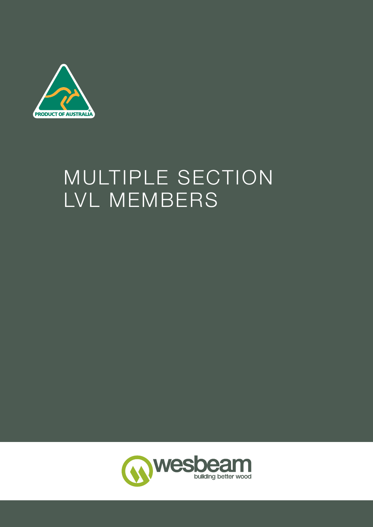

# MULTIPLE SECTION LVL MEMBERS

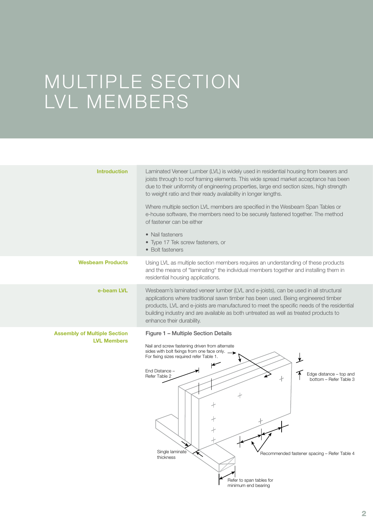## MULTIPLE SECTION LVL MEMBERS

| <b>Introduction</b>                                       | Laminated Veneer Lumber (LVL) is widely used in residential housing from bearers and<br>joists through to roof framing elements. This wide spread market acceptance has been<br>due to their uniformity of engineering properties, large end section sizes, high strength<br>to weight ratio and their ready availability in longer lengths.                                               |  |  |  |
|-----------------------------------------------------------|--------------------------------------------------------------------------------------------------------------------------------------------------------------------------------------------------------------------------------------------------------------------------------------------------------------------------------------------------------------------------------------------|--|--|--|
|                                                           | Where multiple section LVL members are specified in the Wesbeam Span Tables or<br>e-house software, the members need to be securely fastened together. The method<br>of fastener can be either                                                                                                                                                                                             |  |  |  |
|                                                           | • Nail fasteners<br>• Type 17 Tek screw fasteners, or<br>• Bolt fasteners                                                                                                                                                                                                                                                                                                                  |  |  |  |
| <b>Wesbeam Products</b>                                   | Using LVL as multiple section members requires an understanding of these products<br>and the means of "laminating" the individual members together and installing them in<br>residential housing applications.                                                                                                                                                                             |  |  |  |
| e-beam LVL                                                | Wesbeam's laminated veneer lumber (LVL and e-joists), can be used in all structural<br>applications where traditional sawn timber has been used. Being engineered timber<br>products, LVL and e-joists are manufactured to meet the specific needs of the residential<br>building industry and are available as both untreated as well as treated products to<br>enhance their durability. |  |  |  |
| <b>Assembly of Multiple Section</b><br><b>LVL Members</b> | Figure 1 - Multiple Section Details                                                                                                                                                                                                                                                                                                                                                        |  |  |  |
|                                                           | Nail and screw fastening driven from alternate<br>sides with bolt fixings from one face only.<br>For fixing sizes required refer Table 1.<br>End Distance -<br>Edge distance - top and<br>Refer Table 2<br>bottom – Refer Table 3<br>╂                                                                                                                                                     |  |  |  |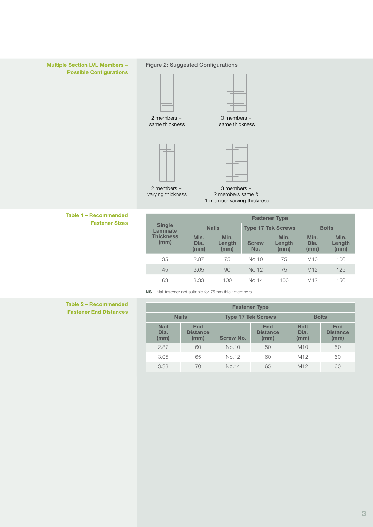

|                           | <b>Fastener Type</b> |                        |                           |                        |                      |                        |  |
|---------------------------|----------------------|------------------------|---------------------------|------------------------|----------------------|------------------------|--|
| <b>Single</b><br>Laminate | <b>Nails</b>         |                        | <b>Type 17 Tek Screws</b> |                        | <b>Bolts</b>         |                        |  |
| <b>Thickness</b><br>(mm)  | Min.<br>Dia.<br>(mm) | Min.<br>Length<br>(mm) | <b>Screw</b><br>No.       | Min.<br>Length<br>(mm) | Min.<br>Dia.<br>(mm) | Min.<br>Length<br>(mm) |  |
| 35                        | 2.87                 | 75                     | No.10                     | 75                     | M10                  | 100                    |  |
| 45                        | 3.05                 | 90                     | No.12                     | 75                     | M <sub>12</sub>      | 125                    |  |
| 63                        | 3.33                 | 100                    | No.14                     | 100                    | M <sub>12</sub>      | 150                    |  |

NS – Nail fastener not suitable for 75mm thick members

Table 2 – Recommended **Fastener End Distances** 

| <b>Fastener Type</b>        |                                           |                  |                                       |                             |                                       |  |
|-----------------------------|-------------------------------------------|------------------|---------------------------------------|-----------------------------|---------------------------------------|--|
|                             | <b>Type 17 Tek Screws</b><br><b>Nails</b> |                  |                                       | <b>Bolts</b>                |                                       |  |
| <b>Nail</b><br>Dia.<br>(mm) | <b>End</b><br><b>Distance</b><br>(mm)     | <b>Screw No.</b> | <b>End</b><br><b>Distance</b><br>(mm) | <b>Bolt</b><br>Dia.<br>(mm) | <b>End</b><br><b>Distance</b><br>(mm) |  |
| 2.87                        | 60                                        | No.10            | 50                                    | M10                         | 50                                    |  |
| 3.05                        | 65                                        | No.12            | 60                                    | M <sub>12</sub>             | 60                                    |  |
| 3.33                        | 70                                        | No.14            | 65                                    | M <sub>12</sub>             | 60                                    |  |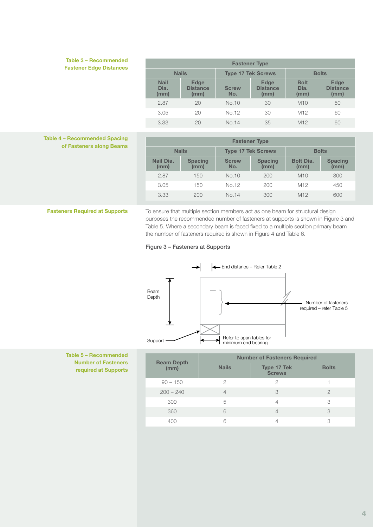### Table 3 – Recommended **Fastener Edge Distances**

| <b>Fastener Type</b>        |                                        |                           |                                        |                             |                                        |  |
|-----------------------------|----------------------------------------|---------------------------|----------------------------------------|-----------------------------|----------------------------------------|--|
|                             | <b>Nails</b>                           | <b>Type 17 Tek Screws</b> |                                        | <b>Bolts</b>                |                                        |  |
| <b>Nail</b><br>Dia.<br>(mm) | <b>Edge</b><br><b>Distance</b><br>(mm) | <b>Screw</b><br>No.       | <b>Edge</b><br><b>Distance</b><br>(mm) | <b>Bolt</b><br>Dia.<br>(mm) | <b>Edge</b><br><b>Distance</b><br>(mm) |  |
| 2.87                        | 20                                     | No.10                     | 30                                     | M10                         | 50                                     |  |
| 3.05                        | 20                                     | No.12                     | 30                                     | M <sub>12</sub>             | 60                                     |  |
| 3.33                        | 20                                     | No.14                     | 35                                     | M <sub>12</sub>             | 60                                     |  |

### Table 4 – Recommended Spacing of Fasteners along Beams

| <b>Fastener Type</b> |                        |                     |                           |                          |                        |
|----------------------|------------------------|---------------------|---------------------------|--------------------------|------------------------|
|                      | <b>Nails</b>           |                     | <b>Type 17 Tek Screws</b> | <b>Bolts</b>             |                        |
| Nail Dia.<br>(mm)    | <b>Spacing</b><br>(mm) | <b>Screw</b><br>No. | <b>Spacing</b><br>(mm)    | <b>Bolt Dia.</b><br>(mm) | <b>Spacing</b><br>(mm) |
| 2.87                 | 150                    | No.10               | 200                       | M10                      | 300                    |
| 3.05                 | 150                    | No.12               | 200                       | M <sub>12</sub>          | 450                    |
| 3.33                 | 200                    | No.14               | 300                       | M <sub>12</sub>          | 600                    |

Fasteners Required at Supports To ensure that multiple section members act as one beam for structural design purposes the recommended number of fasteners at supports is shown in Figure 3 and Table 5. Where a secondary beam is faced fixed to a multiple section primary beam the number of fasteners required is shown in Figure 4 and Table 6.

### Figure 3 – Fasteners at Supports



Table 5 – Recommended Number of Fasteners required at Supports

| <b>Beam Depth</b> | <b>Number of Fasteners Required</b> |                                     |              |  |  |
|-------------------|-------------------------------------|-------------------------------------|--------------|--|--|
| (mm)              | <b>Nails</b>                        | <b>Type 17 Tek</b><br><b>Screws</b> | <b>Bolts</b> |  |  |
| $90 - 150$        | 2                                   | 2                                   |              |  |  |
| $200 - 240$       |                                     | 3                                   |              |  |  |
| 300               | 5                                   | 4                                   | 3            |  |  |
| 360               | 6                                   | $\overline{4}$                      | 3            |  |  |
| 400               |                                     |                                     | 3            |  |  |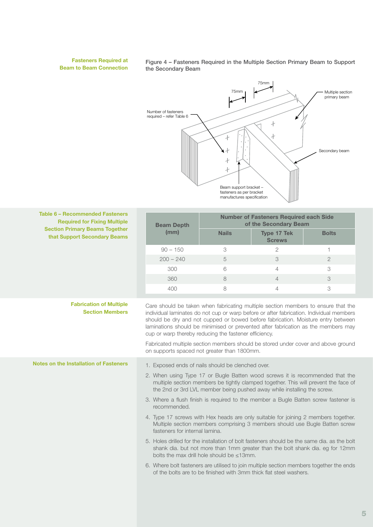### Fasteners Required at Beam to Beam Connection

Figure 4 – Fasteners Required in the Multiple Section Primary Beam to Support the Secondary Beam



| Table 6 - Recommended Fasteners<br><b>Required for Fixing Multiple</b><br><b>Section Primary Beams Together</b><br>that Support Secondary Beams | <b>Beam Depth</b><br>(mm)                                                                                                                                                                                                                                                                                                                                                                                      | <b>Number of Fasteners Required each Side</b><br>of the Secondary Beam |                                     |              |  |
|-------------------------------------------------------------------------------------------------------------------------------------------------|----------------------------------------------------------------------------------------------------------------------------------------------------------------------------------------------------------------------------------------------------------------------------------------------------------------------------------------------------------------------------------------------------------------|------------------------------------------------------------------------|-------------------------------------|--------------|--|
|                                                                                                                                                 |                                                                                                                                                                                                                                                                                                                                                                                                                | <b>Nails</b>                                                           | <b>Type 17 Tek</b><br><b>Screws</b> | <b>Bolts</b> |  |
|                                                                                                                                                 | $90 - 150$                                                                                                                                                                                                                                                                                                                                                                                                     | 3                                                                      | 2                                   | 1.           |  |
|                                                                                                                                                 | $200 - 240$                                                                                                                                                                                                                                                                                                                                                                                                    | 5                                                                      | 3                                   | $\mathbf{2}$ |  |
|                                                                                                                                                 | 300                                                                                                                                                                                                                                                                                                                                                                                                            | 6                                                                      | 4                                   | 3            |  |
|                                                                                                                                                 | 360                                                                                                                                                                                                                                                                                                                                                                                                            | 8                                                                      | $\overline{4}$                      | 3            |  |
|                                                                                                                                                 | 400                                                                                                                                                                                                                                                                                                                                                                                                            | 8                                                                      | 4                                   | 3            |  |
| <b>Fabrication of Multiple</b><br><b>Section Members</b>                                                                                        | Care should be taken when fabricating multiple section members to ensure that the<br>individual laminates do not cup or warp before or after fabrication. Individual members<br>should be dry and not cupped or bowed before fabrication. Moisture entry between<br>laminations should be minimised or prevented after fabrication as the members may<br>cup or warp thereby reducing the fastener efficiency. |                                                                        |                                     |              |  |
|                                                                                                                                                 | Fabricated multiple section members should be stored under cover and above ground<br>on supports spaced not greater than 1800mm.                                                                                                                                                                                                                                                                               |                                                                        |                                     |              |  |
| Notes on the Installation of Fasteners                                                                                                          | 1. Exposed ends of nails should be clenched over.                                                                                                                                                                                                                                                                                                                                                              |                                                                        |                                     |              |  |
|                                                                                                                                                 | 2. When using Type 17 or Bugle Batten wood screws it is recommended that the<br>multiple section members be tightly clamped together. This will prevent the face of<br>the 2nd or 3rd LVL member being pushed away while installing the screw.                                                                                                                                                                 |                                                                        |                                     |              |  |
|                                                                                                                                                 | 3. Where a flush finish is required to the member a Bugle Batten screw fastener is<br>recommended.                                                                                                                                                                                                                                                                                                             |                                                                        |                                     |              |  |
|                                                                                                                                                 | 4. Type 17 screws with Hex heads are only suitable for joining 2 members together.<br>Multiple section members comprising 3 members should use Bugle Batten screw<br>fasteners for internal lamina.                                                                                                                                                                                                            |                                                                        |                                     |              |  |
|                                                                                                                                                 | 5. Holes drilled for the installation of bolt fasteners should be the same dia, as the bolt<br>shank dia. but not more than 1mm greater than the bolt shank dia. eg for 12mm<br>bolts the max drill hole should be $\leq 13$ mm.                                                                                                                                                                               |                                                                        |                                     |              |  |
|                                                                                                                                                 | 6. Where bolt fasteners are utilised to join multiple section members together the ends<br>of the bolts are to be finished with 3mm thick flat steel washers.                                                                                                                                                                                                                                                  |                                                                        |                                     |              |  |